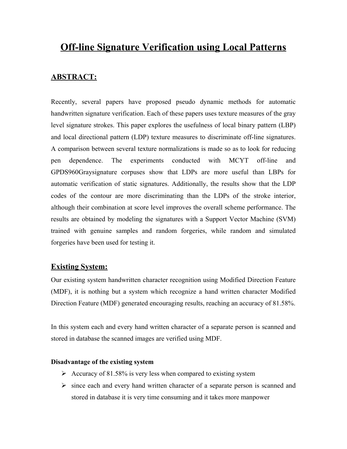# **Off-line Signature Verification using Local Patterns**

## **ABSTRACT:**

Recently, several papers have proposed pseudo dynamic methods for automatic handwritten signature verification. Each of these papers uses texture measures of the gray level signature strokes. This paper explores the usefulness of local binary pattern (LBP) and local directional pattern (LDP) texture measures to discriminate off-line signatures. A comparison between several texture normalizations is made so as to look for reducing pen dependence. The experiments conducted with MCYT off-line and GPDS960Graysignature corpuses show that LDPs are more useful than LBPs for automatic verification of static signatures. Additionally, the results show that the LDP codes of the contour are more discriminating than the LDPs of the stroke interior, although their combination at score level improves the overall scheme performance. The results are obtained by modeling the signatures with a Support Vector Machine (SVM) trained with genuine samples and random forgeries, while random and simulated forgeries have been used for testing it.

#### **Existing System:**

Our existing system handwritten character recognition using Modified Direction Feature (MDF), it is nothing but a system which recognize a hand written character Modified Direction Feature (MDF) generated encouraging results, reaching an accuracy of 81.58%.

In this system each and every hand written character of a separate person is scanned and stored in database the scanned images are verified using MDF.

#### **Disadvantage of the existing system**

- $\triangleright$  Accuracy of 81.58% is very less when compared to existing system
- $\triangleright$  since each and every hand written character of a separate person is scanned and stored in database it is very time consuming and it takes more manpower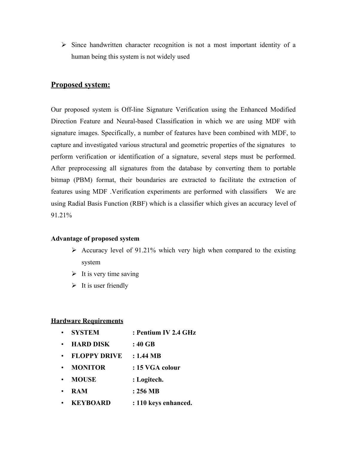$\triangleright$  Since handwritten character recognition is not a most important identity of a human being this system is not widely used

## **Proposed system:**

Our proposed system is Off-line Signature Verification using the Enhanced Modified Direction Feature and Neural-based Classification in which we are using MDF with signature images. Specifically, a number of features have been combined with MDF, to capture and investigated various structural and geometric properties of the signatures to perform verification or identification of a signature, several steps must be performed. After preprocessing all signatures from the database by converting them to portable bitmap (PBM) format, their boundaries are extracted to facilitate the extraction of features using MDF .Verification experiments are performed with classifiers We are using Radial Basis Function (RBF) which is a classifier which gives an accuracy level of 91.21%

#### **Advantage of proposed system**

- $\triangleright$  Accuracy level of 91.21% which very high when compared to the existing system
- $\triangleright$  It is very time saving
- $\triangleright$  It is user friendly

#### **Hardware Requirements**

- " **SYSTEM : Pentium IV 2.4 GHz** " **HARD DISK : 40 GB** " **FLOPPY DRIVE : 1.44 MB** " **MONITOR : 15 VGA colour** " **MOUSE : Logitech.** " **RAM : 256 MB**
- " **KEYBOARD : 110 keys enhanced.**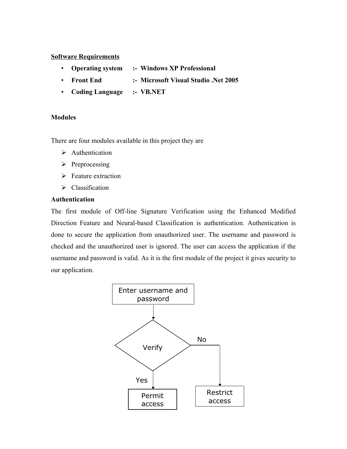#### **Software Requirements**

- " **Operating system :- Windows XP Professional**
- " **Front End :- Microsoft Visual Studio .Net 2005**
- " **Coding Language :- VB.NET**

#### **Modules**

There are four modules available in this project they are

- $\triangleright$  Authentication
- $\triangleright$  Preprocessing
- $\triangleright$  Feature extraction
- $\triangleright$  Classification

#### **Authentication**

The first module of Off-line Signature Verification using the Enhanced Modified Direction Feature and Neural-based Classification is authentication. Authentication is done to secure the application from unauthorized user. The username and password is checked and the unauthorized user is ignored. The user can access the application if the username and password is valid. As it is the first module of the project it gives security to our application.

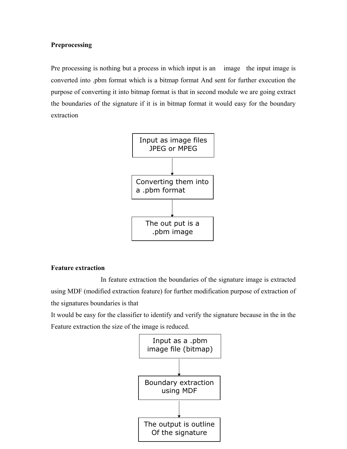#### **Preprocessing**

Pre processing is nothing but a process in which input is an image the input image is converted into .pbm format which is a bitmap format And sent for further execution the purpose of converting it into bitmap format is that in second module we are going extract the boundaries of the signature if it is in bitmap format it would easy for the boundary extraction



#### **Feature extraction**

In feature extraction the boundaries of the signature image is extracted using MDF (modified extraction feature) for further modification purpose of extraction of the signatures boundaries is that

It would be easy for the classifier to identify and verify the signature because in the in the Feature extraction the size of the image is reduced.